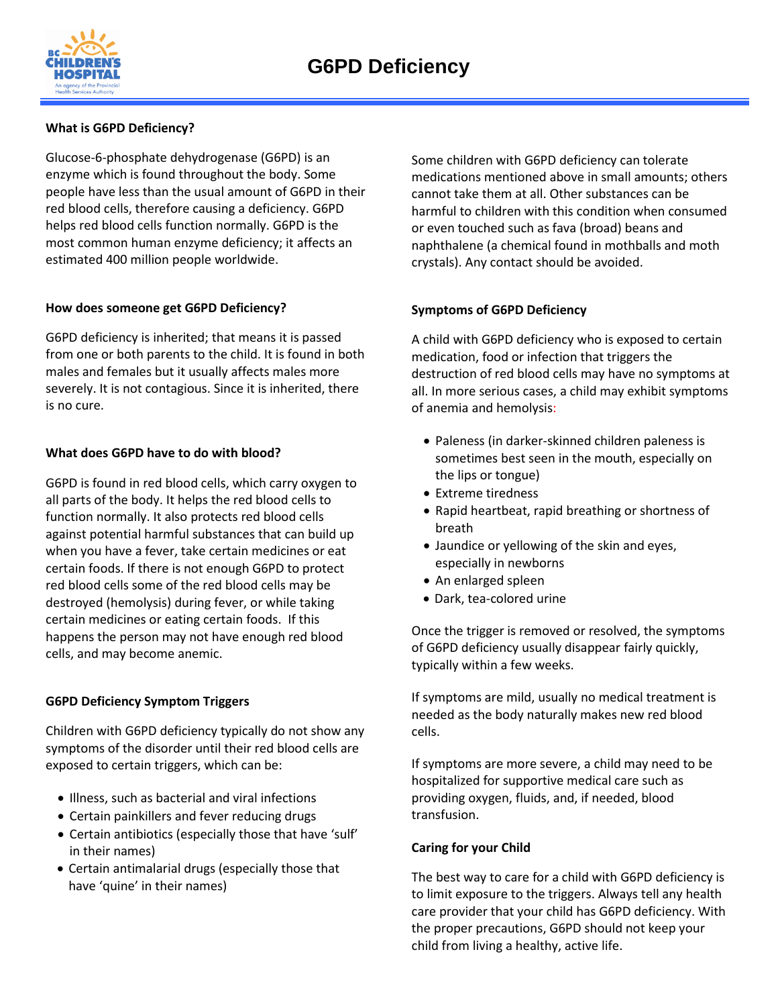

## **What is G6PD Deficiency?**

Glucose-6-phosphate dehydrogenase (G6PD) is an enzyme which is found throughout the body. Some people have less than the usual amount of G6PD in their red blood cells, therefore causing a deficiency. G6PD helps red blood cells function normally. G6PD is the most common human enzyme deficiency; it affects an estimated 400 million people worldwide.

## **How does someone get G6PD Deficiency?**

G6PD deficiency is inherited; that means it is passed from one or both parents to the child. It is found in both males and females but it usually affects males more severely. It is not contagious. Since it is inherited, there is no cure.

## **What does G6PD have to do with blood?**

G6PD is found in red blood cells, which carry oxygen to all parts of the body. It helps the red blood cells to function normally. It also protects red blood cells against potential harmful substances that can build up when you have a fever, take certain medicines or eat certain foods. If there is not enough G6PD to protect red blood cells some of the red blood cells may be destroyed (hemolysis) during fever, or while taking certain medicines or eating certain foods. If this happens the person may not have enough red blood cells, and may become anemic.

## **G6PD Deficiency Symptom Triggers**

Children with G6PD deficiency typically do not show any symptoms of the disorder until their red blood cells are exposed to certain triggers, which can be:

- Illness, such as bacterial and viral infections
- Certain painkillers and fever reducing drugs
- Certain antibiotics (especially those that have 'sulf' in their names)
- Certain antimalarial drugs (especially those that have 'quine' in their names)

Some children with G6PD deficiency can tolerate medications mentioned above in small amounts; others cannot take them at all. Other substances can be harmful to children with this condition when consumed or even touched such as fava (broad) beans and naphthalene (a chemical found in mothballs and moth crystals). Any contact should be avoided.

### **Symptoms of G6PD Deficiency**

A child with G6PD deficiency who is exposed to certain medication, food or infection that triggers the destruction of red blood cells may have no symptoms at all. In more serious cases, a child may exhibit symptoms of anemia and hemolysis:

- Paleness (in darker-skinned children paleness is sometimes best seen in the mouth, especially on the lips or tongue)
- Extreme tiredness
- Rapid heartbeat, rapid breathing or shortness of breath
- Jaundice or yellowing of the skin and eyes, especially in newborns
- An enlarged spleen
- Dark, tea-colored urine

Once the trigger is removed or resolved, the symptoms of G6PD deficiency usually disappear fairly quickly, typically within a few weeks.

If symptoms are mild, usually no medical treatment is needed as the body naturally makes new red blood cells.

If symptoms are more severe, a child may need to be hospitalized for supportive medical care such as providing oxygen, fluids, and, if needed, blood transfusion.

### **Caring for your Child**

The best way to care for a child with G6PD deficiency is to limit exposure to the triggers. Always tell any health care provider that your child has G6PD deficiency. With the proper precautions, G6PD should not keep your child from living a healthy, active life.